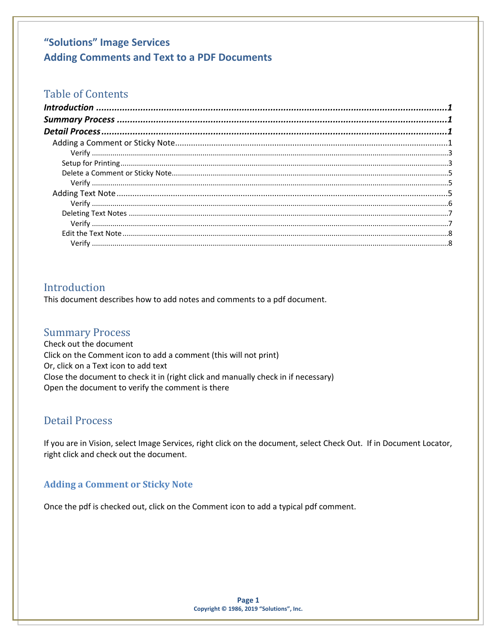## **Table of Contents**

## <span id="page-0-0"></span>Introduction

This document describes how to add notes and comments to a pdf document.

### <span id="page-0-1"></span>**Summary Process**

Check out the document Click on the Comment icon to add a comment (this will not print) Or, click on a Text icon to add text Close the document to check it in (right click and manually check in if necessary) Open the document to verify the comment is there

### <span id="page-0-2"></span>**Detail Process**

If you are in Vision, select Image Services, right click on the document, select Check Out. If in Document Locator, right click and check out the document.

### <span id="page-0-3"></span>**Adding a Comment or Sticky Note**

Once the pdf is checked out, click on the Comment icon to add a typical pdf comment.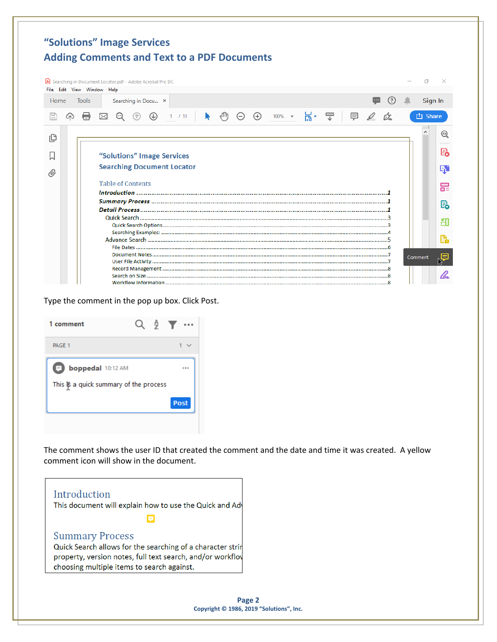|      | File Edit View Window Help | Searching in Document Locator.pdf - Adobe Acrobat Pro DC |               |        |  |                           |                   |                 |                      |              |                         |     |   |                |              |
|------|----------------------------|----------------------------------------------------------|---------------|--------|--|---------------------------|-------------------|-----------------|----------------------|--------------|-------------------------|-----|---|----------------|--------------|
| Home | <b>Tools</b>               | Searching in Docu x                                      |               |        |  |                           |                   |                 |                      |              |                         | (?) | л |                | Sign In      |
|      | ርትጋ                        | $^{\circ}$                                               | $\circledast$ | 1 / 11 |  | $\epsilon$ <sup>(f)</sup> | $\Theta$ $\Theta$ | $100\%$ $\star$ | $\frac{1}{\sqrt{2}}$ | ₩            | $\quad \in \mathscr{L}$ | Òz. |   | <b>白 Share</b> |              |
| ſ₿   |                            |                                                          |               |        |  |                           |                   |                 |                      |              |                         |     |   |                | $^\circledR$ |
|      | "Solutions" Image Services |                                                          |               |        |  |                           |                   |                 |                      |              | ₨                       |     |   |                |              |
| O)   |                            | <b>Searching Document Locator</b>                        |               |        |  |                           |                   |                 |                      |              | q,                      |     |   |                |              |
|      |                            | <b>Table of Contents</b>                                 |               |        |  |                           |                   |                 |                      |              | 巼                       |     |   |                |              |
|      |                            |                                                          |               |        |  |                           |                   |                 |                      | $\mathbb{E}$ |                         |     |   |                |              |
|      |                            |                                                          |               |        |  |                           |                   |                 |                      | ÆП           |                         |     |   |                |              |
|      |                            |                                                          |               |        |  |                           |                   |                 |                      |              |                         |     |   |                | G            |
|      |                            |                                                          |               |        |  |                           |                   |                 |                      |              |                         |     |   | Comment        | 啗            |
|      |                            |                                                          |               |        |  |                           |                   |                 |                      |              |                         |     |   |                |              |

Type the comment in the pop up box. Click Post.

| 1 comment                                                               |  | $Q \oplus \blacktriangledown$ |
|-------------------------------------------------------------------------|--|-------------------------------|
| PAGE 1                                                                  |  |                               |
| <b>boppedal</b> 10:12 AM<br>Ó<br>This is a quick summary of the process |  | ***                           |
|                                                                         |  | Post                          |

The comment shows the user ID that created the comment and the date and time it was created. A yellow comment icon will show in the document.

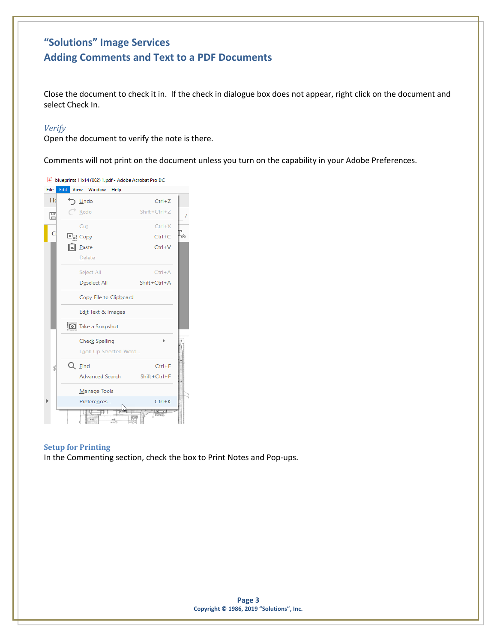Close the document to check it in. If the check in dialogue box does not appear, right click on the document and select Check In.

#### <span id="page-2-0"></span>*Verify*

Open the document to verify the note is there.

Comments will not print on the document unless you turn on the capability in your Adobe Preferences.



#### <span id="page-2-1"></span>**Setup for Printing**

In the Commenting section, check the box to Print Notes and Pop-ups.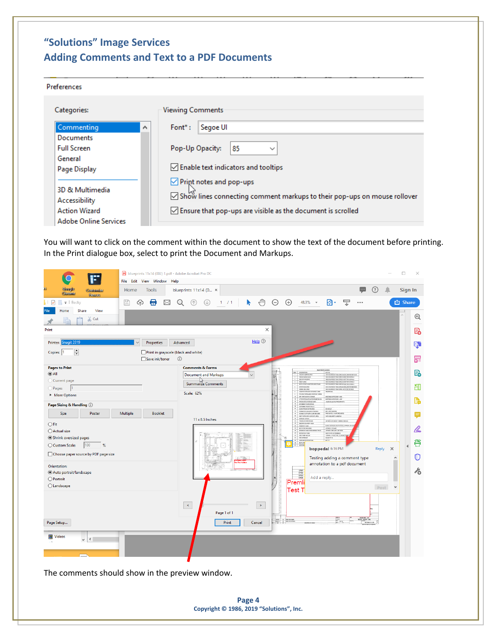#### Preferences

| Categories:                  | <b>Viewing Comments</b>                                                          |  |  |  |  |
|------------------------------|----------------------------------------------------------------------------------|--|--|--|--|
| Commenting                   | Segoe UI<br>$Font^*:$<br>$\boldsymbol{\mathcal{A}}$                              |  |  |  |  |
| Documents                    |                                                                                  |  |  |  |  |
| <b>Full Screen</b>           | Pop-Up Opacity:<br>85<br>$\checkmark$                                            |  |  |  |  |
| General                      |                                                                                  |  |  |  |  |
| Page Display                 | $\vee$ Enable text indicators and tooltips                                       |  |  |  |  |
|                              | $\vee$ Print notes and pop-ups                                                   |  |  |  |  |
| 3D & Multimedia              | ○ Show lines connecting comment markups to their pop-ups on mouse rollover       |  |  |  |  |
| Accessibility                |                                                                                  |  |  |  |  |
| <b>Action Wizard</b>         | $\sqrt{\phantom{a}}$ Ensure that pop-ups are visible as the document is scrolled |  |  |  |  |
| <b>Adobe Online Services</b> |                                                                                  |  |  |  |  |

You will want to click on the comment within the document to show the text of the document before printing. In the Print dialogue box, select to print the Document and Markups.



The comments should show in the preview window.

**Page 4 Copyright © 1986, 2019 "Solutions", Inc.**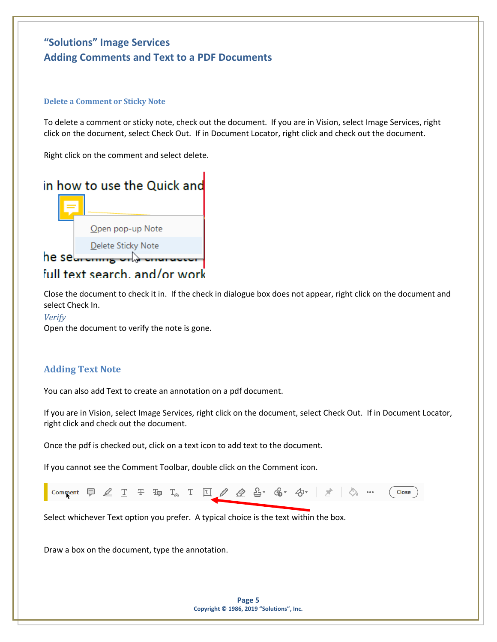#### <span id="page-4-0"></span>**Delete a Comment or Sticky Note**

To delete a comment or sticky note, check out the document. If you are in Vision, select Image Services, right click on the document, select Check Out. If in Document Locator, right click and check out the document.

Right click on the comment and select delete.



## full text search, and/or work

Close the document to check it in. If the check in dialogue box does not appear, right click on the document and select Check In.

#### <span id="page-4-1"></span>*Verify*

Open the document to verify the note is gone.

### <span id="page-4-2"></span>**Adding Text Note**

You can also add Text to create an annotation on a pdf document.

If you are in Vision, select Image Services, right click on the document, select Check Out. If in Document Locator, right click and check out the document.

Once the pdf is checked out, click on a text icon to add text to the document.

If you cannot see the Comment Toolbar, double click on the Comment icon.



Select whichever Text option you prefer. A typical choice is the text within the box.

Draw a box on the document, type the annotation.

**Page 5 Copyright © 1986, 2019 "Solutions", Inc.**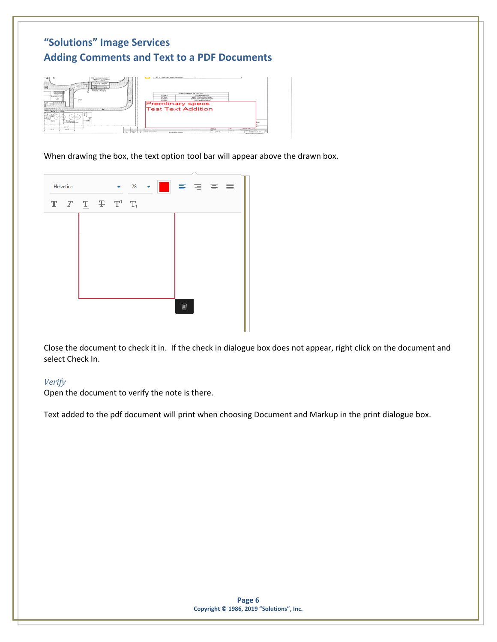

When drawing the box, the text option tool bar will appear above the drawn box.



Close the document to check it in. If the check in dialogue box does not appear, right click on the document and select Check In.

### <span id="page-5-0"></span>*Verify*

Open the document to verify the note is there.

Text added to the pdf document will print when choosing Document and Markup in the print dialogue box.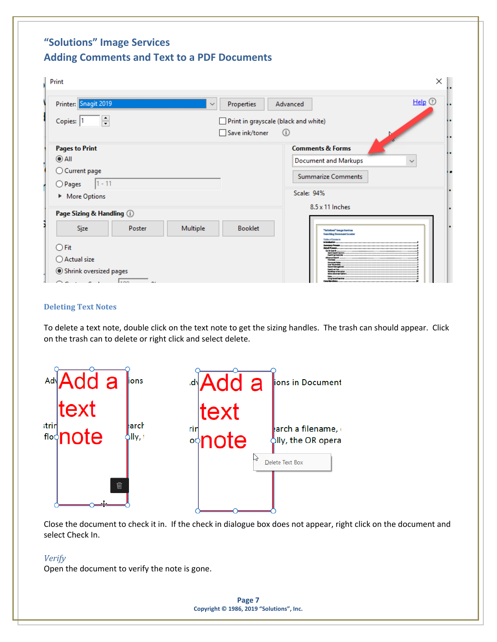| Print                                                                                                        | ×                                                                                                   |
|--------------------------------------------------------------------------------------------------------------|-----------------------------------------------------------------------------------------------------|
| Printer: Snagit 2019<br>Properties<br>$\checkmark$                                                           | Help $\circledcirc$<br>Advanced                                                                     |
| ÷<br>Copies: 1                                                                                               | Print in grayscale (black and white)                                                                |
| Save ink/toner                                                                                               | (i)                                                                                                 |
| <b>Pages to Print</b>                                                                                        | <b>Comments &amp; Forms</b>                                                                         |
| $\odot$ All                                                                                                  | <b>Document and Markups</b><br>$\checkmark$                                                         |
| ◯ Current page                                                                                               | <b>Summarize Comments</b>                                                                           |
| $1 - 11$<br>O Pages                                                                                          |                                                                                                     |
| More Options                                                                                                 | Scale: 94%                                                                                          |
| Page Sizing & Handling (i)                                                                                   | 8.5 x 11 Inches                                                                                     |
| Size<br>Multiple<br><b>Booklet</b><br>Poster                                                                 | "Jolations" lawys Samlsas<br><b>Searching Document Lesator</b>                                      |
| $\bigcirc$ Fit                                                                                               | Table of Couter to<br>Leventory Process<br>Detail Primary<br>Grid Service                           |
| ○ Actual size                                                                                                | Gain's Lauret Capitano<br>senting Exercises<br>thana a lasach<br><b><i><u>moment finisc</u></i></b> |
| Shrink oversized pages<br><b>Jann</b><br>$\bigcap_{n=1}^{\infty}$ and $\bigcap_{n=1}^{\infty}$<br><b>ALC</b> | <b>NEW WEIGHT</b><br>ni kia upira<br>antartin<br>fine information<br>wia wikazia                    |

#### <span id="page-6-0"></span>**Deleting Text Notes**

To delete a text note, double click on the text note to get the sizing handles. The trash can should appear. Click on the trash can to delete or right click and select delete.



Close the document to check it in. If the check in dialogue box does not appear, right click on the document and select Check In.

#### <span id="page-6-1"></span>*Verify*

Open the document to verify the note is gone.